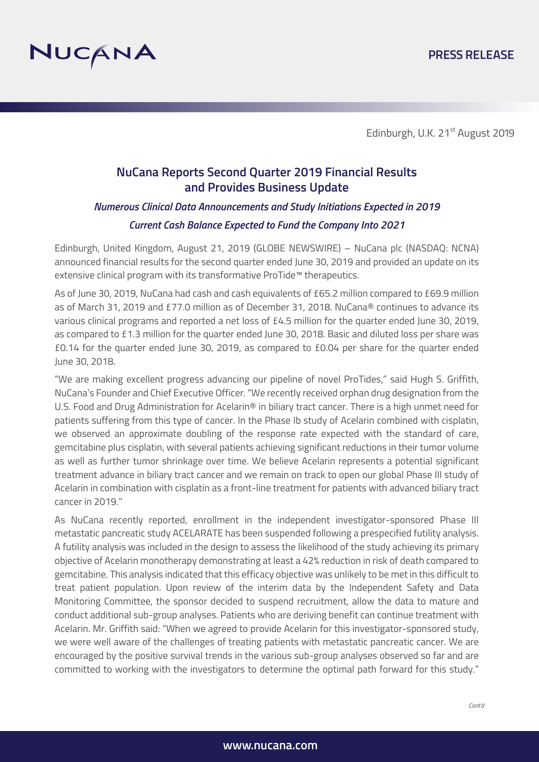

# **NuCana Reports Second Quarter 2019 Financial Results and Provides Business Update**

# *Numerous Clinical Data Announcements and Study Initiations Expected in 2019*

#### *Current Cash Balance Expected to Fund the Company Into 2021*

Edinburgh, United Kingdom, August 21, 2019 (GLOBE NEWSWIRE) – NuCana plc (NASDAQ: NCNA) announced financial results for the second quarter ended June 30, 2019 and provided an update on its extensive clinical program with its transformative ProTide™ therapeutics.

As of June 30, 2019, NuCana had cash and cash equivalents of £65.2 million compared to £69.9 million as of March 31, 2019 and £77.0 million as of December 31, 2018. NuCana® continues to advance its various clinical programs and reported a net loss of £4.5 million for the quarter ended June 30, 2019, as compared to £1.3 million for the quarter ended June 30, 2018. Basic and diluted loss per share was £0.14 for the quarter ended June 30, 2019, as compared to £0.04 per share for the quarter ended June 30, 2018.

"We are making excellent progress advancing our pipeline of novel ProTides," said Hugh S. Griffith, NuCana's Founder and Chief Executive Officer. "We recently received orphan drug designation from the U.S. Food and Drug Administration for Acelarin® in biliary tract cancer. There is a high unmet need for patients suffering from this type of cancer. In the Phase Ib study of Acelarin combined with cisplatin, we observed an approximate doubling of the response rate expected with the standard of care, gemcitabine plus cisplatin, with several patients achieving significant reductions in their tumor volume as well as further tumor shrinkage over time. We believe Acelarin represents a potential significant treatment advance in biliary tract cancer and we remain on track to open our global Phase III study of Acelarin in combination with cisplatin as a front-line treatment for patients with advanced biliary tract cancer in 2019."

As NuCana recently reported, enrollment in the independent investigator-sponsored Phase III metastatic pancreatic study ACELARATE has been suspended following a prespecified futility analysis. A futility analysis was included in the design to assess the likelihood of the study achieving its primary objective of Acelarin monotherapy demonstrating at least a 42% reduction in risk of death compared to gemcitabine. This analysis indicated that this efficacy objective was unlikely to be met in this difficult to treat patient population. Upon review of the interim data by the Independent Safety and Data Monitoring Committee, the sponsor decided to suspend recruitment, allow the data to mature and conduct additional sub-group analyses. Patients who are deriving benefit can continue treatment with Acelarin. Mr. Griffith said: "When we agreed to provide Acelarin for this investigator-sponsored study, we were well aware of the challenges of treating patients with metastatic pancreatic cancer. We are encouraged by the positive survival trends in the various sub-group analyses observed so far and are committed to working with the investigators to determine the optimal path forward for this study."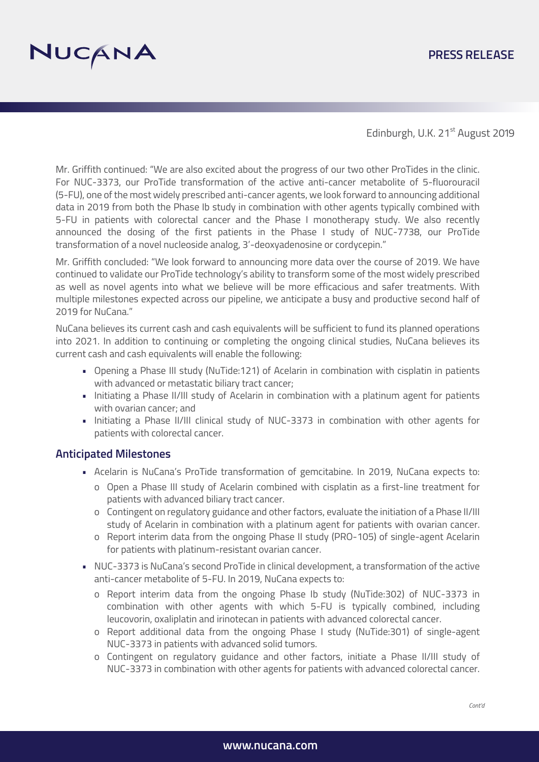# NUCANA

#### **PRESS RELEASE**

Edinburgh, U.K. 21<sup>st</sup> August 2019

Mr. Griffith continued: "We are also excited about the progress of our two other ProTides in the clinic. For NUC-3373, our ProTide transformation of the active anti-cancer metabolite of 5-fluorouracil (5-FU), one of the most widely prescribed anti-cancer agents, we look forward to announcing additional data in 2019 from both the Phase Ib study in combination with other agents typically combined with 5-FU in patients with colorectal cancer and the Phase I monotherapy study. We also recently announced the dosing of the first patients in the Phase I study of NUC-7738, our ProTide transformation of a novel nucleoside analog, 3'-deoxyadenosine or cordycepin."

Mr. Griffith concluded: "We look forward to announcing more data over the course of 2019. We have continued to validate our ProTide technology's ability to transform some of the most widely prescribed as well as novel agents into what we believe will be more efficacious and safer treatments. With multiple milestones expected across our pipeline, we anticipate a busy and productive second half of 2019 for NuCana."

NuCana believes its current cash and cash equivalents will be sufficient to fund its planned operations into 2021. In addition to continuing or completing the ongoing clinical studies, NuCana believes its current cash and cash equivalents will enable the following:

- Opening a Phase III study (NuTide:121) of Acelarin in combination with cisplatin in patients with advanced or metastatic biliary tract cancer;
- Initiating a Phase II/III study of Acelarin in combination with a platinum agent for patients with ovarian cancer; and
- Initiating a Phase II/III clinical study of NUC-3373 in combination with other agents for patients with colorectal cancer.

#### **Anticipated Milestones**

- Acelarin is NuCana's ProTide transformation of gemcitabine. In 2019, NuCana expects to:
	- o Open a Phase III study of Acelarin combined with cisplatin as a first-line treatment for patients with advanced biliary tract cancer.
	- o Contingent on regulatory guidance and other factors, evaluate the initiation of a Phase II/III study of Acelarin in combination with a platinum agent for patients with ovarian cancer.
	- o Report interim data from the ongoing Phase II study (PRO-105) of single-agent Acelarin for patients with platinum-resistant ovarian cancer.
- NUC-3373 is NuCana's second ProTide in clinical development, a transformation of the active anti-cancer metabolite of 5-FU. In 2019, NuCana expects to:
	- o Report interim data from the ongoing Phase Ib study (NuTide:302) of NUC-3373 in combination with other agents with which 5-FU is typically combined, including leucovorin, oxaliplatin and irinotecan in patients with advanced colorectal cancer.
	- o Report additional data from the ongoing Phase I study (NuTide:301) of single-agent NUC-3373 in patients with advanced solid tumors.
	- o Contingent on regulatory guidance and other factors, initiate a Phase II/III study of NUC-3373 in combination with other agents for patients with advanced colorectal cancer.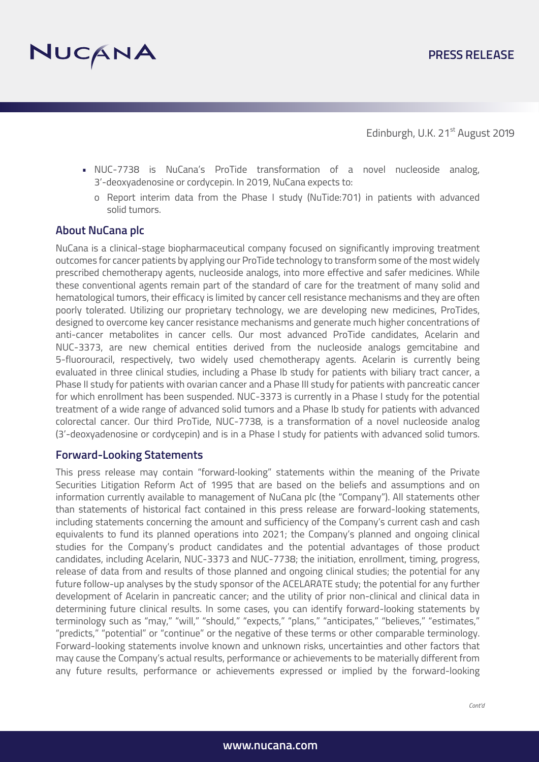

- NUC-7738 is NuCana's ProTide transformation of a novel nucleoside analog, 3'-deoxyadenosine or cordycepin. In 2019, NuCana expects to:
	- o Report interim data from the Phase I study (NuTide:701) in patients with advanced solid tumors.

#### **About NuCana plc**

NuCana is a clinical-stage biopharmaceutical company focused on significantly improving treatment outcomes for cancer patients by applying our ProTide technology to transform some of the most widely prescribed chemotherapy agents, nucleoside analogs, into more effective and safer medicines. While these conventional agents remain part of the standard of care for the treatment of many solid and hematological tumors, their efficacy is limited by cancer cell resistance mechanisms and they are often poorly tolerated. Utilizing our proprietary technology, we are developing new medicines, ProTides, designed to overcome key cancer resistance mechanisms and generate much higher concentrations of anti-cancer metabolites in cancer cells. Our most advanced ProTide candidates, Acelarin and NUC-3373, are new chemical entities derived from the nucleoside analogs gemcitabine and 5-fluorouracil, respectively, two widely used chemotherapy agents. Acelarin is currently being evaluated in three clinical studies, including a Phase Ib study for patients with biliary tract cancer, a Phase II study for patients with ovarian cancer and a Phase III study for patients with pancreatic cancer for which enrollment has been suspended. NUC-3373 is currently in a Phase I study for the potential treatment of a wide range of advanced solid tumors and a Phase Ib study for patients with advanced colorectal cancer. Our third ProTide, NUC-7738, is a transformation of a novel nucleoside analog (3'-deoxyadenosine or cordycepin) and is in a Phase I study for patients with advanced solid tumors.

#### **Forward-Looking Statements**

This press release may contain "forward‐looking" statements within the meaning of the Private Securities Litigation Reform Act of 1995 that are based on the beliefs and assumptions and on information currently available to management of NuCana plc (the "Company"). All statements other than statements of historical fact contained in this press release are forward-looking statements, including statements concerning the amount and sufficiency of the Company's current cash and cash equivalents to fund its planned operations into 2021; the Company's planned and ongoing clinical studies for the Company's product candidates and the potential advantages of those product candidates, including Acelarin, NUC-3373 and NUC-7738; the initiation, enrollment, timing, progress, release of data from and results of those planned and ongoing clinical studies; the potential for any future follow-up analyses by the study sponsor of the ACELARATE study; the potential for any further development of Acelarin in pancreatic cancer; and the utility of prior non-clinical and clinical data in determining future clinical results. In some cases, you can identify forward-looking statements by terminology such as "may," "will," "should," "expects," "plans," "anticipates," "believes," "estimates," "predicts," "potential" or "continue" or the negative of these terms or other comparable terminology. Forward-looking statements involve known and unknown risks, uncertainties and other factors that may cause the Company's actual results, performance or achievements to be materially different from any future results, performance or achievements expressed or implied by the forward-looking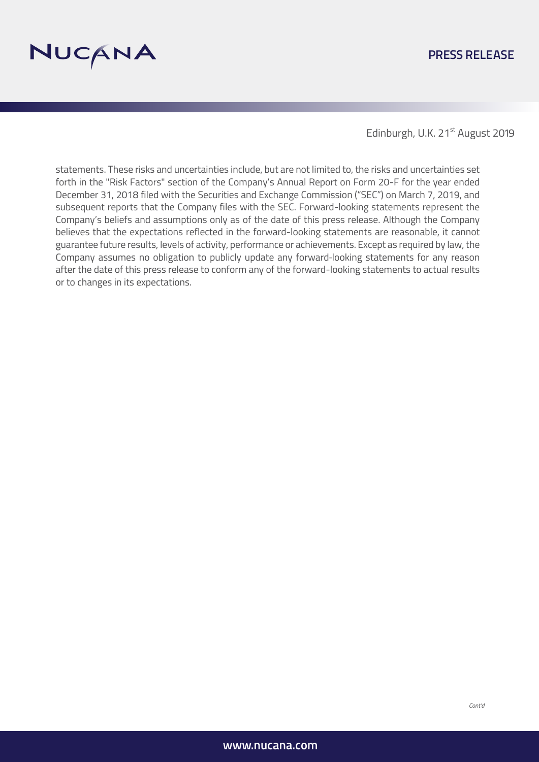

#### **PRESS RELEASE**

Edinburgh, U.K. 21<sup>st</sup> August 2019

statements. These risks and uncertainties include, but are not limited to, the risks and uncertainties set forth in the "Risk Factors" section of the Company's Annual Report on Form 20-F for the year ended December 31, 2018 filed with the Securities and Exchange Commission ("SEC") on March 7, 2019, and subsequent reports that the Company files with the SEC. Forward-looking statements represent the Company's beliefs and assumptions only as of the date of this press release. Although the Company believes that the expectations reflected in the forward-looking statements are reasonable, it cannot guarantee future results, levels of activity, performance or achievements. Except as required by law, the Company assumes no obligation to publicly update any forward‐looking statements for any reason after the date of this press release to conform any of the forward-looking statements to actual results or to changes in its expectations.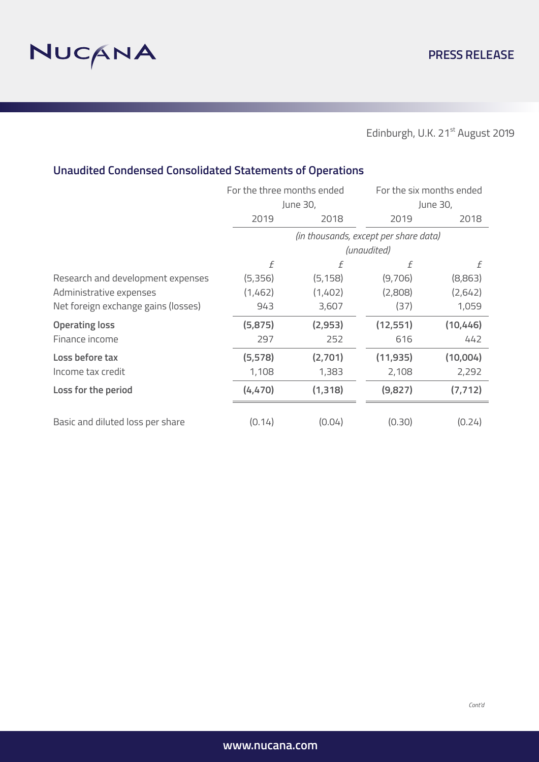

# **Unaudited Condensed Consolidated Statements of Operations**

|                                     | For the three months ended<br>June 30, |          | For the six months ended<br>June 30, |           |
|-------------------------------------|----------------------------------------|----------|--------------------------------------|-----------|
|                                     |                                        |          |                                      |           |
|                                     | 2019                                   | 2018     | 2019                                 | 2018      |
|                                     | (in thousands, except per share data)  |          |                                      |           |
|                                     | (unaudited)                            |          |                                      |           |
|                                     | f                                      | f        | f                                    | f         |
| Research and development expenses   | (5,356)                                | (5, 158) | (9,706)                              | (8,863)   |
| Administrative expenses             | (1,462)                                | (1,402)  | (2,808)                              | (2,642)   |
| Net foreign exchange gains (losses) | 943                                    | 3,607    | (37)                                 | 1,059     |
| <b>Operating loss</b>               | (5, 875)                               | (2,953)  | (12, 551)                            | (10, 446) |
| Finance income                      | 297                                    | 252      | 616                                  | 442       |
| Loss before tax                     | (5, 578)                               | (2,701)  | (11, 935)                            | (10,004)  |
| Income tax credit                   | 1,108                                  | 1,383    | 2,108                                | 2,292     |
| Loss for the period                 | (4, 470)                               | (1, 318) | (9,827)                              | (7, 712)  |
|                                     |                                        |          |                                      |           |
| Basic and diluted loss per share    | (0.14)                                 | (0.04)   | (0.30)                               | (0.24)    |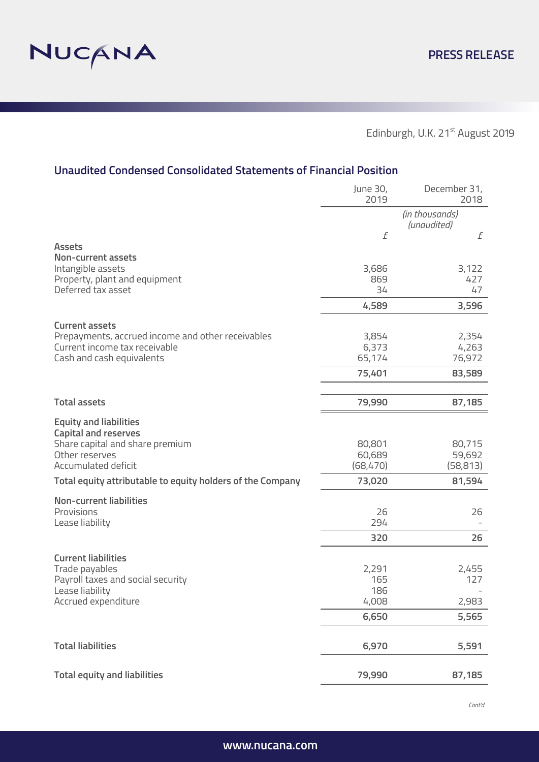

## **Unaudited Condensed Consolidated Statements of Financial Position**

|                                                            | June 30,<br>2019 | December 31,<br>2018          |
|------------------------------------------------------------|------------------|-------------------------------|
|                                                            |                  | (in thousands)<br>(unaudited) |
|                                                            | f                | f                             |
| <b>Assets</b><br>Non-current assets                        |                  |                               |
| Intangible assets                                          | 3,686            | 3,122                         |
| Property, plant and equipment                              | 869              | 427                           |
| Deferred tax asset                                         | 34               | 47                            |
|                                                            | 4,589            | 3,596                         |
| <b>Current assets</b>                                      |                  |                               |
| Prepayments, accrued income and other receivables          | 3,854            | 2,354                         |
| Current income tax receivable                              | 6,373            | 4,263                         |
| Cash and cash equivalents                                  | 65,174           | 76,972                        |
|                                                            | 75,401           | 83,589                        |
|                                                            |                  |                               |
| <b>Total assets</b>                                        | 79,990           | 87,185                        |
| <b>Equity and liabilities</b>                              |                  |                               |
| <b>Capital and reserves</b>                                |                  |                               |
| Share capital and share premium                            | 80,801           | 80,715                        |
| Other reserves                                             | 60,689           | 59,692                        |
| Accumulated deficit                                        | (68, 470)        | (58, 813)                     |
| Total equity attributable to equity holders of the Company | 73,020           | 81,594                        |
| <b>Non-current liabilities</b>                             |                  |                               |
| Provisions                                                 | 26               | 26                            |
| Lease liability                                            | 294              |                               |
|                                                            | 320              | 26                            |
| <b>Current liabilities</b>                                 |                  |                               |
| Trade payables                                             | 2,291            | 2,455                         |
| Payroll taxes and social security                          | 165              | 127                           |
| Lease liability                                            | 186              |                               |
| Accrued expenditure                                        | 4,008            | 2,983                         |
|                                                            | 6,650            | 5,565                         |
| <b>Total liabilities</b>                                   |                  |                               |
|                                                            | 6,970            | 5,591                         |
| <b>Total equity and liabilities</b>                        | 79,990           | 87,185                        |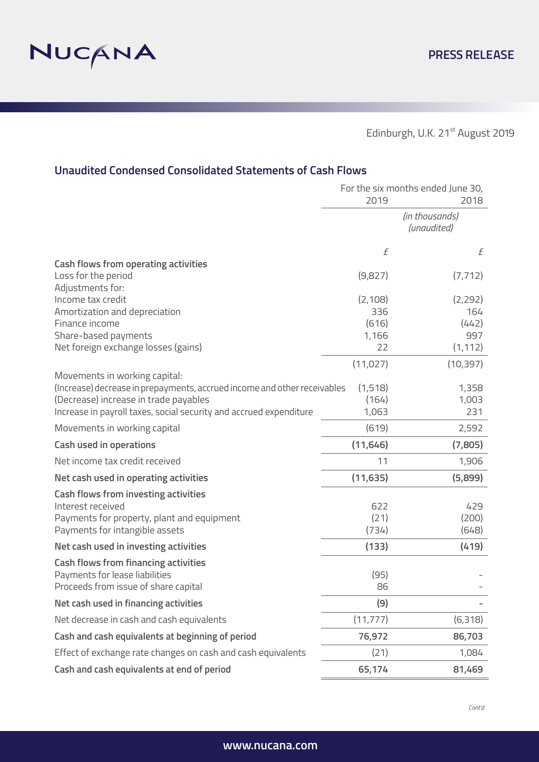

### **Unaudited Condensed Consolidated Statements of Cash Flows**

|                                                                          | For the six months ended June 30, |                |
|--------------------------------------------------------------------------|-----------------------------------|----------------|
|                                                                          | 2019                              | 2018           |
|                                                                          | (in thousands)<br>(unaudited)     |                |
|                                                                          | $\sqrt{f}$                        | f              |
| <b>Cash flows from operating activities</b>                              |                                   |                |
| Loss for the period                                                      | (9,827)                           | (7, 712)       |
| Adjustments for:                                                         |                                   |                |
| Income tax credit<br>Amortization and depreciation                       | (2, 108)<br>336                   | (2,292)<br>164 |
| Finance income                                                           | (616)                             | (442)          |
| Share-based payments                                                     | 1,166                             | 997            |
| Net foreign exchange losses (gains)                                      | 22                                | (1, 112)       |
|                                                                          | (11, 027)                         | (10, 397)      |
| Movements in working capital:                                            |                                   |                |
| (Increase) decrease in prepayments, accrued income and other receivables | (1,518)                           | 1,358          |
| (Decrease) increase in trade payables                                    | (164)                             | 1,003          |
| Increase in payroll taxes, social security and accrued expenditure       | 1,063                             | 231            |
| Movements in working capital                                             | (619)                             | 2,592          |
| <b>Cash used in operations</b>                                           | (11, 646)                         | (7,805)        |
| Net income tax credit received                                           | 11                                | 1,906          |
| Net cash used in operating activities                                    | (11, 635)                         | (5,899)        |
| <b>Cash flows from investing activities</b>                              |                                   |                |
| Interest received                                                        | 622                               | 429            |
| Payments for property, plant and equipment                               | (21)                              | (200)          |
| Payments for intangible assets                                           | (734)                             | (648)          |
| Net cash used in investing activities                                    | (133)                             | (419)          |
| <b>Cash flows from financing activities</b>                              |                                   |                |
| Payments for lease liabilities                                           | (95)                              |                |
| Proceeds from issue of share capital                                     | 86                                |                |
| Net cash used in financing activities                                    | (9)                               |                |
| Net decrease in cash and cash equivalents                                | (11, 777)                         | (6,318)        |
| Cash and cash equivalents at beginning of period                         | 76,972                            | 86,703         |
| Effect of exchange rate changes on cash and cash equivalents             | (21)                              | 1,084          |
| Cash and cash equivalents at end of period                               | 65,174                            | 81,469         |